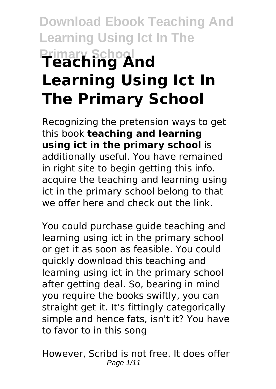# **Download Ebook Teaching And Learning Using Ict In The Primary School Teaching And Learning Using Ict In The Primary School**

Recognizing the pretension ways to get this book **teaching and learning using ict in the primary school** is additionally useful. You have remained in right site to begin getting this info. acquire the teaching and learning using ict in the primary school belong to that we offer here and check out the link.

You could purchase guide teaching and learning using ict in the primary school or get it as soon as feasible. You could quickly download this teaching and learning using ict in the primary school after getting deal. So, bearing in mind you require the books swiftly, you can straight get it. It's fittingly categorically simple and hence fats, isn't it? You have to favor to in this song

However, Scribd is not free. It does offer Page 1/11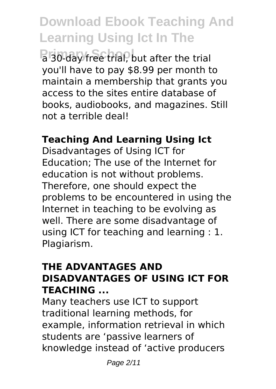**Primary School a 30-day free trial, but after the trial** you'll have to pay \$8.99 per month to maintain a membership that grants you access to the sites entire database of books, audiobooks, and magazines. Still not a terrible deal!

## **Teaching And Learning Using Ict**

Disadvantages of Using ICT for Education; The use of the Internet for education is not without problems. Therefore, one should expect the problems to be encountered in using the Internet in teaching to be evolving as well. There are some disadvantage of using ICT for teaching and learning : 1. Plagiarism.

#### **THE ADVANTAGES AND DISADVANTAGES OF USING ICT FOR TEACHING ...**

Many teachers use ICT to support traditional learning methods, for example, information retrieval in which students are 'passive learners of knowledge instead of 'active producers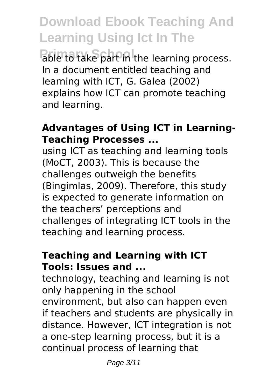**Pable to take part in the learning process.** In a document entitled teaching and learning with ICT, G. Galea (2002) explains how ICT can promote teaching and learning.

#### **Advantages of Using ICT in Learning-Teaching Processes ...**

using ICT as teaching and learning tools (MoCT, 2003). This is because the challenges outweigh the benefits (Bingimlas, 2009). Therefore, this study is expected to generate information on the teachers' perceptions and challenges of integrating ICT tools in the teaching and learning process.

### **Teaching and Learning with ICT Tools: Issues and ...**

technology, teaching and learning is not only happening in the school environment, but also can happen even if teachers and students are physically in distance. However, ICT integration is not a one-step learning process, but it is a continual process of learning that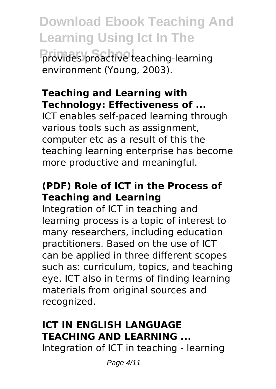**Download Ebook Teaching And Learning Using Ict In The Provides proactive teaching-learning** environment (Young, 2003).

## **Teaching and Learning with Technology: Effectiveness of ...**

ICT enables self-paced learning through various tools such as assignment, computer etc as a result of this the teaching learning enterprise has become more productive and meaningful.

## **(PDF) Role of ICT in the Process of Teaching and Learning**

Integration of ICT in teaching and learning process is a topic of interest to many researchers, including education practitioners. Based on the use of ICT can be applied in three different scopes such as: curriculum, topics, and teaching eye. ICT also in terms of finding learning materials from original sources and recognized.

## **ICT IN ENGLISH LANGUAGE TEACHING AND LEARNING ...**

Integration of ICT in teaching - learning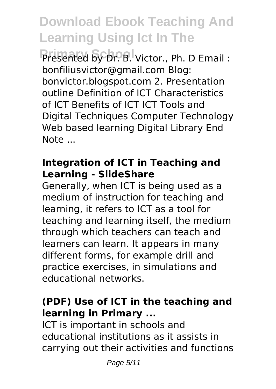Presented by Dr. B. Victor., Ph. D Email : bonfiliusvictor@gmail.com Blog: bonvictor.blogspot.com 2. Presentation outline Definition of ICT Characteristics of ICT Benefits of ICT ICT Tools and Digital Techniques Computer Technology Web based learning Digital Library End Note ...

### **Integration of ICT in Teaching and Learning - SlideShare**

Generally, when ICT is being used as a medium of instruction for teaching and learning, it refers to ICT as a tool for teaching and learning itself, the medium through which teachers can teach and learners can learn. It appears in many different forms, for example drill and practice exercises, in simulations and educational networks.

## **(PDF) Use of ICT in the teaching and learning in Primary ...**

ICT is important in schools and educational institutions as it assists in carrying out their activities and functions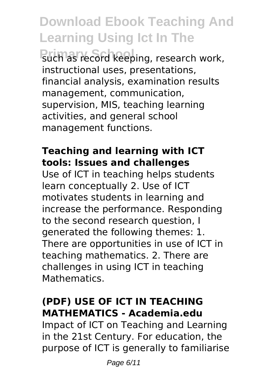**Primary Such as record keeping, research work,** instructional uses, presentations, financial analysis, examination results management, communication, supervision, MIS, teaching learning activities, and general school management functions.

### **Teaching and learning with ICT tools: Issues and challenges**

Use of ICT in teaching helps students learn conceptually 2. Use of ICT motivates students in learning and increase the performance. Responding to the second research question, I generated the following themes: 1. There are opportunities in use of ICT in teaching mathematics. 2. There are challenges in using ICT in teaching Mathematics.

## **(PDF) USE OF ICT IN TEACHING MATHEMATICS - Academia.edu**

Impact of ICT on Teaching and Learning in the 21st Century. For education, the purpose of ICT is generally to familiarise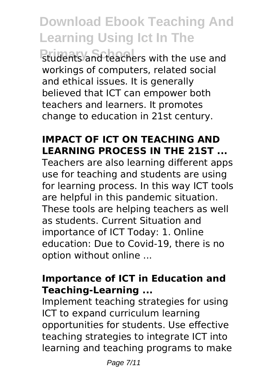**Primary School** students and teachers with the use and workings of computers, related social and ethical issues. It is generally believed that ICT can empower both teachers and learners. It promotes change to education in 21st century.

## **IMPACT OF ICT ON TEACHING AND LEARNING PROCESS IN THE 21ST ...**

Teachers are also learning different apps use for teaching and students are using for learning process. In this way ICT tools are helpful in this pandemic situation. These tools are helping teachers as well as students. Current Situation and importance of ICT Today: 1. Online education: Due to Covid-19, there is no option without online ...

#### **Importance of ICT in Education and Teaching-Learning ...**

Implement teaching strategies for using ICT to expand curriculum learning opportunities for students. Use effective teaching strategies to integrate ICT into learning and teaching programs to make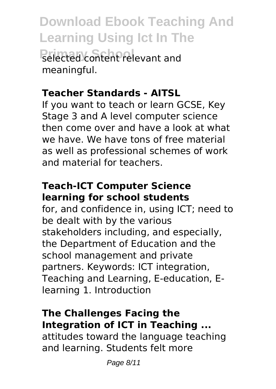**Download Ebook Teaching And Learning Using Ict In The Primary School** selected content relevant and meaningful.

## **Teacher Standards - AITSL**

If you want to teach or learn GCSE, Key Stage 3 and A level computer science then come over and have a look at what we have. We have tons of free material as well as professional schemes of work and material for teachers.

## **Teach-ICT Computer Science learning for school students**

for, and confidence in, using ICT; need to be dealt with by the various stakeholders including, and especially, the Department of Education and the school management and private partners. Keywords: ICT integration, Teaching and Learning, E-education, Elearning 1. Introduction

### **The Challenges Facing the Integration of ICT in Teaching ...**

attitudes toward the language teaching and learning. Students felt more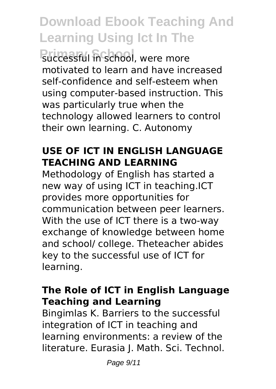**Primary School** successful in school, were more motivated to learn and have increased self-confidence and self-esteem when using computer-based instruction. This was particularly true when the technology allowed learners to control their own learning. C. Autonomy

## **USE OF ICT IN ENGLISH LANGUAGE TEACHING AND LEARNING**

Methodology of English has started a new way of using ICT in teaching.ICT provides more opportunities for communication between peer learners. With the use of ICT there is a two-way exchange of knowledge between home and school/ college. Theteacher abides key to the successful use of ICT for learning.

## **The Role of ICT in English Language Teaching and Learning**

Bingimlas K. Barriers to the successful integration of ICT in teaching and learning environments: a review of the literature. Eurasia J. Math. Sci. Technol.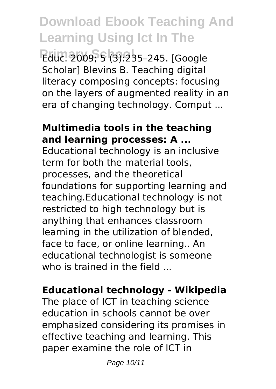**Primary School** Educ. 2009; 5 (3):235–245. [Google Scholar] Blevins B. Teaching digital literacy composing concepts: focusing on the layers of augmented reality in an era of changing technology. Comput ...

#### **Multimedia tools in the teaching and learning processes: A ...**

Educational technology is an inclusive term for both the material tools, processes, and the theoretical foundations for supporting learning and teaching.Educational technology is not restricted to high technology but is anything that enhances classroom learning in the utilization of blended, face to face, or online learning.. An educational technologist is someone who is trained in the field ...

#### **Educational technology - Wikipedia**

The place of ICT in teaching science education in schools cannot be over emphasized considering its promises in effective teaching and learning. This paper examine the role of ICT in